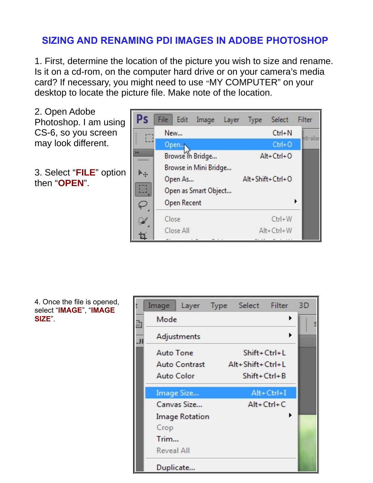## **SIZING AND RENAMING PDI IMAGES IN ADOBE PHOTOSHOP**

1. First, determine the location of the picture you wish to size and rename. Is it on a cd-rom, on the computer hard drive or on your camera's media card? If necessary, you might need to use "MY COMPUTER" on your desktop to locate the picture file. Make note of the location.



4. Once the file is opened, select "**IMAGE**", "**IMAGE SIZE**".

| Image                 | Layer Type Select Filter |                  | 3D |
|-----------------------|--------------------------|------------------|----|
| Mode                  |                          | ▶                |    |
| Adjustments           |                          | ▶                |    |
| <b>Auto Tone</b>      | Shift+Ctrl+L             |                  |    |
| <b>Auto Contrast</b>  | Alt+Shift+Ctrl+L         |                  |    |
| Auto Color            | $Shift+Ctrl+B$           |                  |    |
| Image Size            |                          | $Alt + CtrI + I$ |    |
| Canvas Size           |                          | $Alt + Ctrl + C$ |    |
| <b>Image Rotation</b> |                          |                  |    |
| Crop                  |                          |                  |    |
| Trim                  |                          |                  |    |
| Reveal All            |                          |                  |    |
| Duplicate             |                          |                  |    |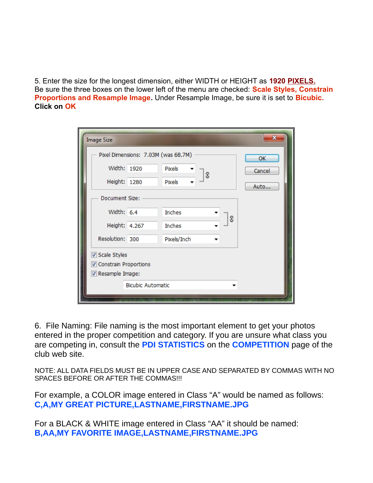5. Enter the size for the longest dimension, either WIDTH or HEIGHT as **1920 PIXELS.** Be sure the three boxes on the lower left of the menu are checked: **Scale Styles, Constrain Proportions and Resample Image.** Under Resample Image, be sure it is set to **Bicubic. Click on OK**

| <b>Image Size</b>                   |    |             |   |   | ×      |  |  |  |  |
|-------------------------------------|----|-------------|---|---|--------|--|--|--|--|
| Pixel Dimensions: 7.03M (was 68.7M) | OK |             |   |   |        |  |  |  |  |
| Width: 1920                         |    | Pixels      | G |   | Cancel |  |  |  |  |
| Height: 1280                        |    | Pixels      |   |   | Auto   |  |  |  |  |
| Document Size:                      |    |             |   |   |        |  |  |  |  |
| Width: 6.4                          |    | Inches      |   | ε |        |  |  |  |  |
| Height: 4.267                       |    | Inches      |   |   |        |  |  |  |  |
| Resolution: 300                     |    | Pixels/Inch |   |   |        |  |  |  |  |
| Scale Styles                        |    |             |   |   |        |  |  |  |  |
| Constrain Proportions               |    |             |   |   |        |  |  |  |  |
| Resample Image:                     |    |             |   |   |        |  |  |  |  |
| <b>Bicubic Automatic</b>            |    |             |   |   |        |  |  |  |  |
|                                     |    |             |   |   |        |  |  |  |  |
|                                     |    |             |   |   |        |  |  |  |  |

6. File Naming: File naming is the most important element to get your photos entered in the proper competition and category. If you are unsure what class you are competing in, consult the **PDI STATISTICS** on the **COMPETITION** page of the club web site.

NOTE: ALL DATA FIELDS MUST BE IN UPPER CASE AND SEPARATED BY COMMAS WITH NO SPACES BEFORE OR AFTER THE COMMAS!!!

For example, a COLOR image entered in Class "A" would be named as follows: **C,A,MY GREAT PICTURE,LASTNAME,FIRSTNAME.JPG**

For a BLACK & WHITE image entered in Class "AA" it should be named: **B,AA,MY FAVORITE IMAGE,LASTNAME,FIRSTNAME.JPG**